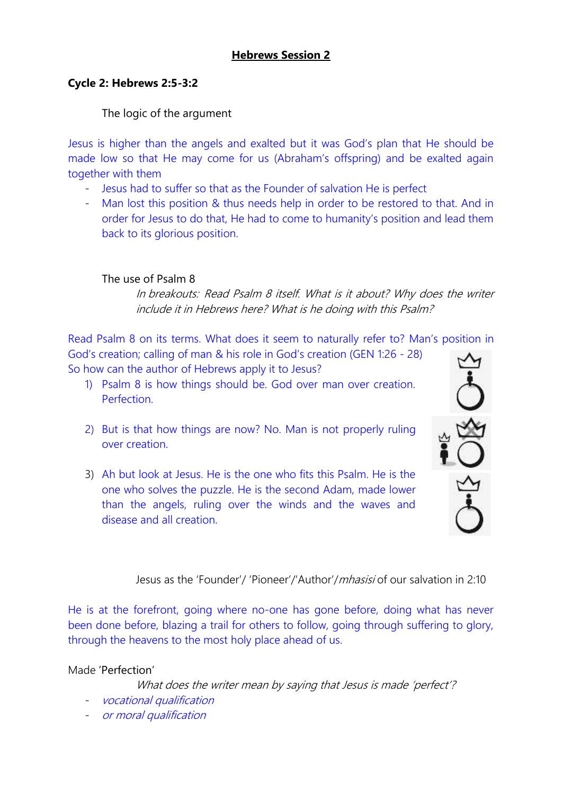## **Hebrews Session 2**

#### **Cycle 2: Hebrews 2:5-3:2**

## The logic of the argument

Jesus is higher than the angels and exalted but it was God's plan that He should be made low so that He may come for us (Abraham's offspring) and be exalted again together with them

- Jesus had to suffer so that as the Founder of salvation He is perfect
- Man lost this position & thus needs help in order to be restored to that. And in order for Jesus to do that, He had to come to humanity's position and lead them back to its glorious position.

## The use of Psalm 8

In breakouts: Read Psalm 8 itself. What is it about? Why does the writer include it in Hebrews here? What is he doing with this Psalm?

Read Psalm 8 on its terms. What does it seem to naturally refer to? Man's position in God's creation; calling of man & his role in God's creation (GEN 1:26 - 28)

So how can the author of Hebrews apply it to Jesus?

- 1) Psalm 8 is how things should be. God over man over creation. Perfection.
- 2) But is that how things are now? No. Man is not properly ruling over creation.
- 3) Ah but look at Jesus. He is the one who fits this Psalm. He is the one who solves the puzzle. He is the second Adam, made lower than the angels, ruling over the winds and the waves and disease and all creation.



Jesus as the 'Founder'/ 'Pioneer'/'Author'/mhasisi of our salvation in 2:10

He is at the forefront, going where no-one has gone before, doing what has never been done before, blazing a trail for others to follow, going through suffering to glory, through the heavens to the most holy place ahead of us.

Made 'Perfection'

What does the writer mean by saying that Jesus is made 'perfect'?

- vocational qualification
- or moral qualification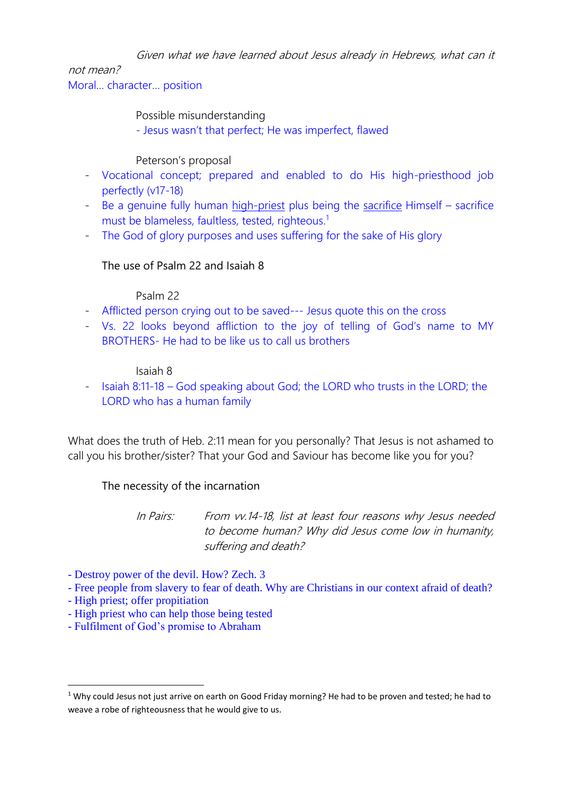Given what we have learned about Jesus already in Hebrews, what can it

# not mean?

Moral… character… position

Possible misunderstanding

- Jesus wasn't that perfect; He was imperfect, flawed

## Peterson's proposal

- Vocational concept; prepared and enabled to do His high-priesthood job perfectly (v17-18)
- Be a genuine fully human high-priest plus being the sacrifice Himself sacrifice must be blameless, faultless, tested, righteous.<sup>1</sup>
- The God of glory purposes and uses suffering for the sake of His glory

## The use of Psalm 22 and Isaiah 8

## Psalm 22

- Afflicted person crying out to be saved--- Jesus quote this on the cross
- Vs. 22 looks beyond affliction to the joy of telling of God's name to MY BROTHERS- He had to be like us to call us brothers

## Isaiah 8

- Isaiah 8:11-18 – God speaking about God; the LORD who trusts in the LORD; the LORD who has a human family

What does the truth of Heb. 2:11 mean for you personally? That Jesus is not ashamed to call you his brother/sister? That your God and Saviour has become like you for you?

## The necessity of the incarnation

In Pairs: From vv.14-18, list at least four reasons why Jesus needed to become human? Why did Jesus come low in humanity, suffering and death?

- Destroy power of the devil. How? Zech. 3
- Free people from slavery to fear of death. Why are Christians in our context afraid of death?
- High priest; offer propitiation

**.** 

- High priest who can help those being tested
- Fulfilment of God's promise to Abraham

<sup>&</sup>lt;sup>1</sup> Why could Jesus not just arrive on earth on Good Friday morning? He had to be proven and tested; he had to weave a robe of righteousness that he would give to us.